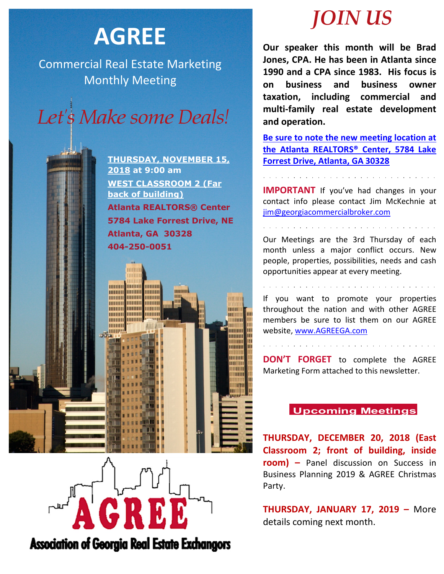# **AGREE**

Commercial Real Estate Marketing Monthly Meeting



**THURSDAY, NOVEMBER 15, 2018 at 9:00 am WEST CLASSROOM 2 (Far back of building) Atlanta REALTORS® Center 5784 Lake Forrest Drive, NE Atlanta, GA 30328 404-250-0051**

mmm

шшш

गागा

mum

HIIIIIII mmm

THITITI

HHHHH

mmm

mmm **mm** 

**MARIE ANDRE** 

mmm

mmm

mmm

mmm

mmm

**HIIIIIIII** 

mmm

mmm шш



## *JOIN US*

**Our speaker this month will be Brad Jones, CPA. He has been in Atlanta since 1990 and a CPA since 1983. His focus is on business and business owner taxation, including commercial and multi-family real estate development and operation.**

**Be sure to note the new meeting location at the Atlanta REALTORS® Center, 5784 Lake Forrest Drive, Atlanta, GA 30328**

**IMPORTANT** If you've had changes in your contact info please contact Jim McKechnie at [jim@georgiacommercialbroker.com](mailto:jim@georgiacommercialbroker.com?subject=Changes%20to%20My%20Account)

Our Meetings are the 3rd Thursday of each month unless a major conflict occurs. New people, properties, possibilities, needs and cash opportunities appear at every meeting.

If you want to promote your properties throughout the nation and with other AGREE members be sure to list them on our AGREE website, www.AGREEGA.com

**DON'T FORGET** to complete the AGREE Marketing Form attached to this newsletter.

### **Upcoming Meetings**

**THURSDAY, DECEMBER 20, 2018 (East Classroom 2; front of building, inside room) –** Panel discussion on Success in Business Planning 2019 & AGREE Christmas Party.

**THURSDAY, JANUARY 17, 2019 –** More details coming next month.

**Association of Georgia Real Estate Exchangors**